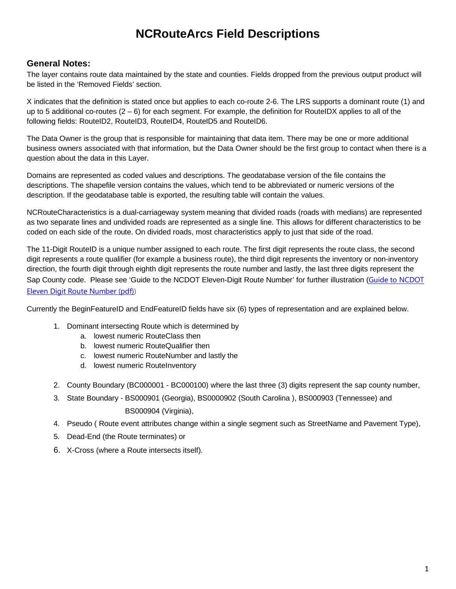# **NCRouteArcs Field Descriptions**

#### **General Notes:**

The layer contains route data maintained by the state and counties. Fields dropped from the previous output product will be listed in the 'Removed Fields' section.

X indicates that the definition is stated once but applies to each co-route 2-6. The LRS supports a dominant route (1) and up to 5 additional co-routes  $(2 - 6)$  for each segment. For example, the definition for RouteIDX applies to all of the following fields: RouteID2, RouteID3, RouteID4, RouteID5 and RouteID6.

The Data Owner is the group that is responsible for maintaining that data item. There may be one or more additional business owners associated with that information, but the Data Owner should be the first group to contact when there is a question about the data in this Layer.

Domains are represented as coded values and descriptions. The geodatabase version of the file contains the descriptions. The shapefile version contains the values, which tend to be abbreviated or numeric versions of the description. If the geodatabase table is exported, the resulting table will contain the values.

NCRouteCharacteristics is a dual-carriageway system meaning that divided roads (roads with medians) are represented as two separate lines and undivided roads are represented as a single line. This allows for different characteristics to be coded on each side of the route. On divided roads, most characteristics apply to just that side of the road.

The 11-Digit RouteID is a unique number assigned to each route. The first digit represents the route class, the second digit represents a route qualifier (for example a business route), the third digit represents the inventory or non-inventory direction, the fourth digit through eighth digit represents the route number and lastly, the last three digits represent the Sap County code. Please see 'Guide to the NCDOT Eleven-Digit Route Number' for further illustration (Guide to NCDOT Eleven Digit Route Number (pdf))

Currently the BeginFeatureID and EndFeatureID fields have six (6) types of representation and are explained below.

- 1. Dominant intersecting Route which is determined by
	- a. lowest numeric RouteClass then
	- b. lowest numeric RouteQualifier then
	- c. lowest numeric RouteNumber and lastly the
	- d. lowest numeric RouteInventory
- 2. County Boundary (BC000001 BC000100) where the last three (3) digits represent the sap county number,
- 3. State Boundary BS000901 (Georgia), BS0000902 (South Carolina ), BS000903 (Tennessee) and BS000904 (Virginia),
- 4. Pseudo ( Route event attributes change within a single segment such as StreetName and Pavement Type),
- 5. Dead-End (the Route terminates) or
- 6. X-Cross (where a Route intersects itself).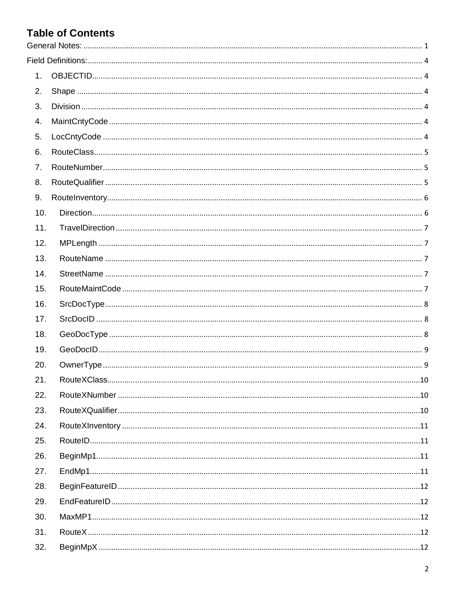# **Table of Contents**

| 1.  |  |
|-----|--|
| 2.  |  |
| 3.  |  |
| 4.  |  |
| 5.  |  |
| 6.  |  |
| 7.  |  |
| 8.  |  |
| 9.  |  |
| 10. |  |
| 11. |  |
| 12. |  |
| 13. |  |
| 14. |  |
| 15. |  |
| 16. |  |
| 17. |  |
| 18. |  |
| 19. |  |
| 20. |  |
| 21. |  |
| 22. |  |
| 23. |  |
| 24. |  |
| 25. |  |
| 26. |  |
| 27. |  |
| 28. |  |
| 29. |  |
| 30. |  |
| 31. |  |
| 32. |  |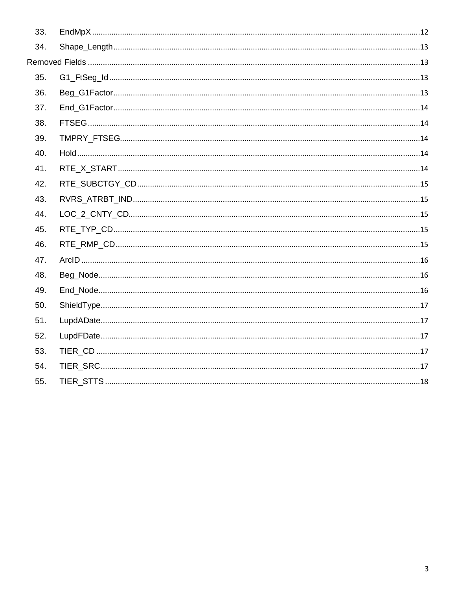| 33. |  |
|-----|--|
| 34. |  |
|     |  |
| 35. |  |
| 36. |  |
| 37. |  |
| 38. |  |
| 39. |  |
| 40. |  |
| 41. |  |
| 42. |  |
| 43. |  |
| 44. |  |
| 45. |  |
| 46. |  |
| 47. |  |
| 48. |  |
| 49. |  |
| 50. |  |
| 51. |  |
| 52. |  |
| 53. |  |
| 54. |  |
| 55. |  |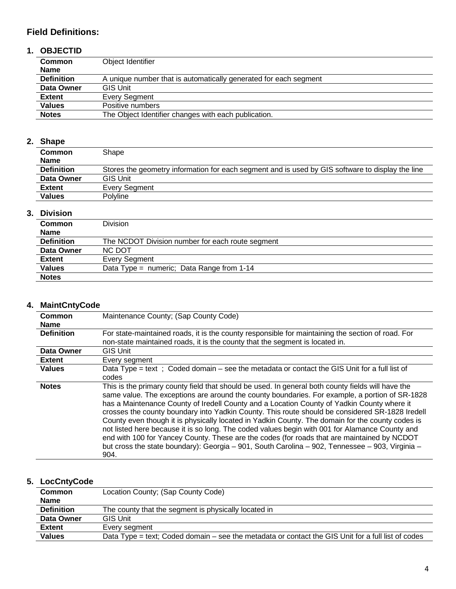## **Field Definitions:**

## **1. OBJECTID**

| <b>Common</b>     | Object Identifier                                                |  |
|-------------------|------------------------------------------------------------------|--|
| <b>Name</b>       |                                                                  |  |
| <b>Definition</b> | A unique number that is automatically generated for each segment |  |
| Data Owner        | <b>GIS Unit</b>                                                  |  |
| <b>Extent</b>     | Every Segment                                                    |  |
| <b>Values</b>     | Positive numbers                                                 |  |
| <b>Notes</b>      | The Object Identifier changes with each publication.             |  |

### **2. Shape**

| <b>Common</b>     | Shape                                                                                            |  |
|-------------------|--------------------------------------------------------------------------------------------------|--|
| <b>Name</b>       |                                                                                                  |  |
| <b>Definition</b> | Stores the geometry information for each segment and is used by GIS software to display the line |  |
| Data Owner        | <b>GIS Unit</b>                                                                                  |  |
| Extent            | Every Seament                                                                                    |  |
| <b>Values</b>     | <b>Polyline</b>                                                                                  |  |
|                   |                                                                                                  |  |

### **3. Division**

| <b>Common</b>     | Division                                         |
|-------------------|--------------------------------------------------|
| <b>Name</b>       |                                                  |
| <b>Definition</b> | The NCDOT Division number for each route segment |
| Data Owner        | NC DOT                                           |
| <b>Extent</b>     | Every Segment                                    |
| <b>Values</b>     | Data Type = numeric; Data Range from $1-14$      |
| <b>Notes</b>      |                                                  |

### **4. MaintCntyCode**

| Common<br><b>Name</b> | Maintenance County; (Sap County Code)                                                                                                                                                                                                                                                                                                                                                                                                                                                                                                                                                                                                                                                                                                                                                                                |  |
|-----------------------|----------------------------------------------------------------------------------------------------------------------------------------------------------------------------------------------------------------------------------------------------------------------------------------------------------------------------------------------------------------------------------------------------------------------------------------------------------------------------------------------------------------------------------------------------------------------------------------------------------------------------------------------------------------------------------------------------------------------------------------------------------------------------------------------------------------------|--|
| <b>Definition</b>     | For state-maintained roads, it is the county responsible for maintaining the section of road. For<br>non-state maintained roads, it is the county that the segment is located in.                                                                                                                                                                                                                                                                                                                                                                                                                                                                                                                                                                                                                                    |  |
| Data Owner            | <b>GIS Unit</b>                                                                                                                                                                                                                                                                                                                                                                                                                                                                                                                                                                                                                                                                                                                                                                                                      |  |
| <b>Extent</b>         | Every segment                                                                                                                                                                                                                                                                                                                                                                                                                                                                                                                                                                                                                                                                                                                                                                                                        |  |
| <b>Values</b>         | Data Type = text; Coded domain $-$ see the metadata or contact the GIS Unit for a full list of<br>codes                                                                                                                                                                                                                                                                                                                                                                                                                                                                                                                                                                                                                                                                                                              |  |
| <b>Notes</b>          | This is the primary county field that should be used. In general both county fields will have the<br>same value. The exceptions are around the county boundaries. For example, a portion of SR-1828<br>has a Maintenance County of Iredell County and a Location County of Yadkin County where it<br>crosses the county boundary into Yadkin County. This route should be considered SR-1828 Iredell<br>County even though it is physically located in Yadkin County. The domain for the county codes is<br>not listed here because it is so long. The coded values begin with 001 for Alamance County and<br>end with 100 for Yancey County. These are the codes (for roads that are maintained by NCDOT<br>but cross the state boundary): Georgia - 901, South Carolina - 902, Tennessee - 903, Virginia -<br>904. |  |

# **5. LocCntyCode**

| Location County; (Sap County Code)                                                                 |
|----------------------------------------------------------------------------------------------------|
|                                                                                                    |
| The county that the segment is physically located in                                               |
| <b>GIS Unit</b>                                                                                    |
| Every seament                                                                                      |
| Data Type = text; Coded domain – see the metadata or contact the GIS Unit for a full list of codes |
|                                                                                                    |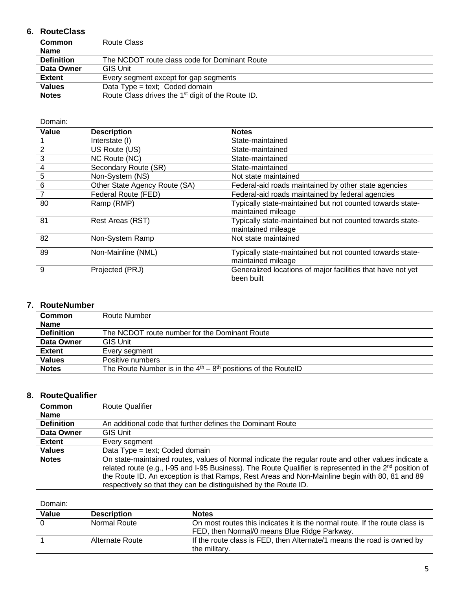### **6. RouteClass**

| <b>Common</b>                                                                 | Route Class                                   |  |
|-------------------------------------------------------------------------------|-----------------------------------------------|--|
| <b>Name</b>                                                                   |                                               |  |
| <b>Definition</b>                                                             | The NCDOT route class code for Dominant Route |  |
| Data Owner                                                                    | <b>GIS Unit</b>                               |  |
| <b>Extent</b>                                                                 | Every segment except for gap segments         |  |
| <b>Values</b>                                                                 | Data $Type = text$ ; Coded domain             |  |
| <b>Notes</b><br>Route Class drives the 1 <sup>st</sup> digit of the Route ID. |                                               |  |

Domain:

| Value          | <b>Description</b>            | <b>Notes</b>                                                |
|----------------|-------------------------------|-------------------------------------------------------------|
|                | Interstate (I)                | State-maintained                                            |
| $\overline{2}$ | US Route (US)                 | State-maintained                                            |
| $\mathbf{3}$   | NC Route (NC)                 | State-maintained                                            |
| $\frac{4}{1}$  | Secondary Route (SR)          | State-maintained                                            |
| $\overline{5}$ | Non-System (NS)               | Not state maintained                                        |
| 6              | Other State Agency Route (SA) | Federal-aid roads maintained by other state agencies        |
| $\overline{7}$ | Federal Route (FED)           | Federal-aid roads maintained by federal agencies            |
| 80             | Ramp (RMP)                    | Typically state-maintained but not counted towards state-   |
|                |                               | maintained mileage                                          |
| 81             | Rest Areas (RST)              | Typically state-maintained but not counted towards state-   |
|                |                               | maintained mileage                                          |
| 82             | Non-System Ramp               | Not state maintained                                        |
| 89             | Non-Mainline (NML)            | Typically state-maintained but not counted towards state-   |
|                |                               | maintained mileage                                          |
| 9              | Projected (PRJ)               | Generalized locations of major facilities that have not yet |
|                |                               | been built                                                  |

#### **7. RouteNumber**

| <b>Common</b>     | Route Number                                                    |  |
|-------------------|-----------------------------------------------------------------|--|
| <b>Name</b>       |                                                                 |  |
| <b>Definition</b> | The NCDOT route number for the Dominant Route                   |  |
| Data Owner        | <b>GIS Unit</b>                                                 |  |
| <b>Extent</b>     | Every segment                                                   |  |
| <b>Values</b>     | Positive numbers                                                |  |
| <b>Notes</b>      | The Route Number is in the $4th - 8th$ positions of the RoutelD |  |

### **8. RouteQualifier**

| Common                                                                                                                                                                                                                                                                                                                                                                                                          | <b>Route Qualifier</b>                                     |  |
|-----------------------------------------------------------------------------------------------------------------------------------------------------------------------------------------------------------------------------------------------------------------------------------------------------------------------------------------------------------------------------------------------------------------|------------------------------------------------------------|--|
| <b>Name</b>                                                                                                                                                                                                                                                                                                                                                                                                     |                                                            |  |
| <b>Definition</b>                                                                                                                                                                                                                                                                                                                                                                                               | An additional code that further defines the Dominant Route |  |
| Data Owner                                                                                                                                                                                                                                                                                                                                                                                                      | <b>GIS Unit</b>                                            |  |
| <b>Extent</b>                                                                                                                                                                                                                                                                                                                                                                                                   | Every segment                                              |  |
| <b>Values</b>                                                                                                                                                                                                                                                                                                                                                                                                   | Data Type = text; Coded domain                             |  |
| On state-maintained routes, values of Normal indicate the regular route and other values indicate a<br><b>Notes</b><br>related route (e.g., I-95 and I-95 Business). The Route Qualifier is represented in the 2 <sup>nd</sup> position of<br>the Route ID. An exception is that Ramps, Rest Areas and Non-Mainline begin with 80, 81 and 89<br>respectively so that they can be distinguished by the Route ID. |                                                            |  |

| Value | <b>Description</b> | <b>Notes</b>                                                                                                                |
|-------|--------------------|-----------------------------------------------------------------------------------------------------------------------------|
|       | Normal Route       | On most routes this indicates it is the normal route. If the route class is<br>FED, then Normal/0 means Blue Ridge Parkway. |
|       | Alternate Route    | If the route class is FED, then Alternate/1 means the road is owned by<br>the military.                                     |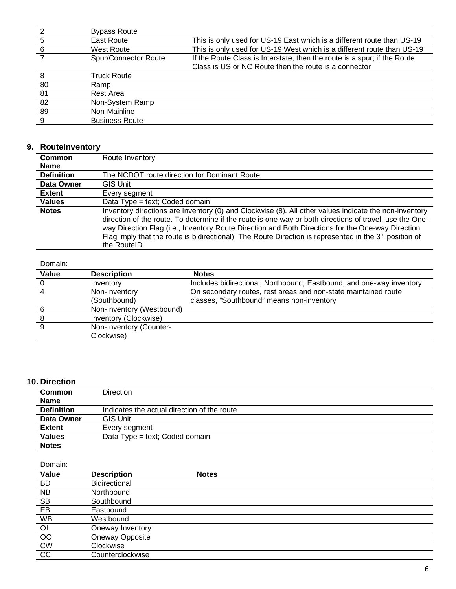| 2   | <b>Bypass Route</b>   |                                                                          |
|-----|-----------------------|--------------------------------------------------------------------------|
| 5   | East Route            | This is only used for US-19 East which is a different route than US-19   |
| - 6 | <b>West Route</b>     | This is only used for US-19 West which is a different route than US-19   |
|     | Spur/Connector Route  | If the Route Class is Interstate, then the route is a spur; if the Route |
|     |                       | Class is US or NC Route then the route is a connector                    |
| -8  | <b>Truck Route</b>    |                                                                          |
| -80 | Ramp                  |                                                                          |
| -81 | Rest Area             |                                                                          |
| 82  | Non-System Ramp       |                                                                          |
| -89 | Non-Mainline          |                                                                          |
| -9  | <b>Business Route</b> |                                                                          |

### **9. RouteInventory**

| Common            | Route Inventory                                                                                                                                                                                                                                                                                                                                                                                                                                      |
|-------------------|------------------------------------------------------------------------------------------------------------------------------------------------------------------------------------------------------------------------------------------------------------------------------------------------------------------------------------------------------------------------------------------------------------------------------------------------------|
| <b>Name</b>       |                                                                                                                                                                                                                                                                                                                                                                                                                                                      |
| <b>Definition</b> | The NCDOT route direction for Dominant Route                                                                                                                                                                                                                                                                                                                                                                                                         |
| Data Owner        | GIS Unit                                                                                                                                                                                                                                                                                                                                                                                                                                             |
| <b>Extent</b>     | Every segment                                                                                                                                                                                                                                                                                                                                                                                                                                        |
| <b>Values</b>     | Data Type = text; Coded domain                                                                                                                                                                                                                                                                                                                                                                                                                       |
| <b>Notes</b>      | Inventory directions are Inventory (0) and Clockwise (8). All other values indicate the non-inventory<br>direction of the route. To determine if the route is one-way or both directions of travel, use the One-<br>way Direction Flag (i.e., Inventory Route Direction and Both Directions for the One-way Direction<br>Flag imply that the route is bidirectional). The Route Direction is represented in the $3^{rd}$ position of<br>the RouteID. |

#### Domain:

| <b>Value</b> | <b>Description</b>        | <b>Notes</b>                                                         |
|--------------|---------------------------|----------------------------------------------------------------------|
|              | Inventory                 | Includes bidirectional, Northbound, Eastbound, and one-way inventory |
|              | Non-Inventory             | On secondary routes, rest areas and non-state maintained route       |
|              | (Southbound)              | classes, "Southbound" means non-inventory                            |
|              | Non-Inventory (Westbound) |                                                                      |
|              | Inventory (Clockwise)     |                                                                      |
|              | Non-Inventory (Counter-   |                                                                      |
|              | Clockwise)                |                                                                      |

### **10. Direction**

| <b>Common</b>     | <b>Direction</b>                            |
|-------------------|---------------------------------------------|
| <b>Name</b>       |                                             |
| <b>Definition</b> | Indicates the actual direction of the route |
| Data Owner        | <b>GIS Unit</b>                             |
| <b>Extent</b>     | Every segment                               |
| <b>Values</b>     | Data Type = text; Coded domain              |
| <b>Notes</b>      |                                             |

| Value          | <b>Description</b> | <b>Notes</b> |
|----------------|--------------------|--------------|
| <b>BD</b>      | Bidirectional      |              |
| <b>NB</b>      | Northbound         |              |
| <b>SB</b>      | Southbound         |              |
| EB             | Eastbound          |              |
| <b>WB</b>      | Westbound          |              |
| $\overline{O}$ | Oneway Inventory   |              |
| O <sub>O</sub> | Oneway Opposite    |              |
| <b>CW</b>      | Clockwise          |              |
| CC             | Counterclockwise   |              |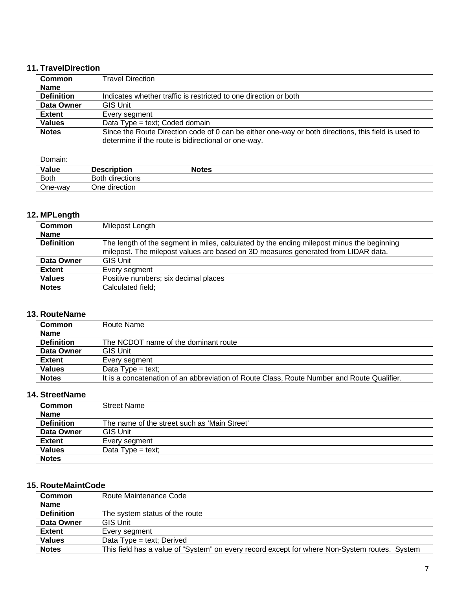### **11. TravelDirection**

| <b>Common</b>     | Travel Direction                                                                                                                                           |
|-------------------|------------------------------------------------------------------------------------------------------------------------------------------------------------|
| <b>Name</b>       |                                                                                                                                                            |
| <b>Definition</b> | Indicates whether traffic is restricted to one direction or both                                                                                           |
| Data Owner        | <b>GIS Unit</b>                                                                                                                                            |
| <b>Extent</b>     | Every seament                                                                                                                                              |
| <b>Values</b>     | Data Type = text; Coded domain                                                                                                                             |
| <b>Notes</b>      | Since the Route Direction code of 0 can be either one-way or both directions, this field is used to<br>determine if the route is bidirectional or one-way. |

Domain:

| Value<br><b>Contract Contract Contract Contract</b> | <b>Description</b> | Notes |  |
|-----------------------------------------------------|--------------------|-------|--|
| <b>Both</b>                                         | Both directions    |       |  |
| One-way                                             | One direction      |       |  |

### **12. MPLength**

| <b>Common</b>     | Milepost Length                                                                           |
|-------------------|-------------------------------------------------------------------------------------------|
| <b>Name</b>       |                                                                                           |
| <b>Definition</b> | The length of the segment in miles, calculated by the ending milepost minus the beginning |
|                   | milepost. The milepost values are based on 3D measures generated from LIDAR data.         |
| Data Owner        | <b>GIS Unit</b>                                                                           |
| <b>Extent</b>     | Every segment                                                                             |
| <b>Values</b>     | Positive numbers; six decimal places                                                      |
| <b>Notes</b>      | Calculated field;                                                                         |
|                   |                                                                                           |

#### **13. RouteName**

| Common            | Route Name                                                                                 |
|-------------------|--------------------------------------------------------------------------------------------|
| <b>Name</b>       |                                                                                            |
| <b>Definition</b> | The NCDOT name of the dominant route                                                       |
| Data Owner        | <b>GIS Unit</b>                                                                            |
| <b>Extent</b>     | Every segment                                                                              |
| <b>Values</b>     | Data Type $=$ text;                                                                        |
| <b>Notes</b>      | It is a concatenation of an abbreviation of Route Class, Route Number and Route Qualifier. |

### **14. StreetName**

| <b>Common</b>     | <b>Street Name</b>                           |
|-------------------|----------------------------------------------|
| <b>Name</b>       |                                              |
| <b>Definition</b> | The name of the street such as 'Main Street' |
| Data Owner        | <b>GIS Unit</b>                              |
| <b>Extent</b>     | Every segment                                |
| <b>Values</b>     | Data $Type = text$ ;                         |
| <b>Notes</b>      |                                              |

### **15. RouteMaintCode**

| Common            | Route Maintenance Code                                                                        |
|-------------------|-----------------------------------------------------------------------------------------------|
| <b>Name</b>       |                                                                                               |
| <b>Definition</b> | The system status of the route                                                                |
| Data Owner        | <b>GIS Unit</b>                                                                               |
| <b>Extent</b>     | Every segment                                                                                 |
| <b>Values</b>     | Data $Type = text$ ; Derived                                                                  |
| <b>Notes</b>      | This field has a value of "System" on every record except for where Non-System routes. System |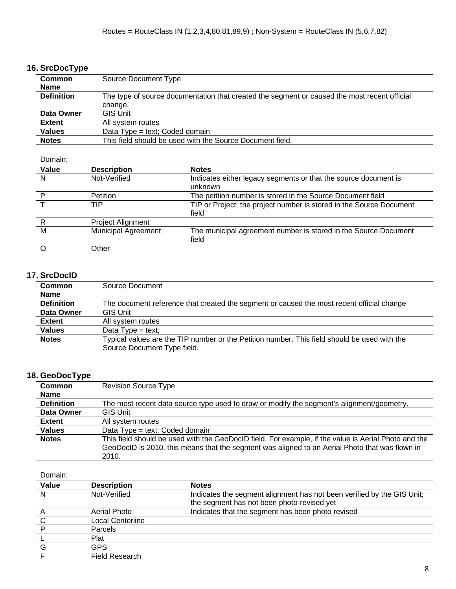### **16. SrcDocType**

| <b>Common</b>     | Source Document Type                                                                         |
|-------------------|----------------------------------------------------------------------------------------------|
| <b>Name</b>       |                                                                                              |
| <b>Definition</b> | The type of source documentation that created the segment or caused the most recent official |
|                   | change.                                                                                      |
| Data Owner        | <b>GIS Unit</b>                                                                              |
| <b>Extent</b>     | All system routes                                                                            |
| <b>Values</b>     | Data Type = text; Coded domain                                                               |
| <b>Notes</b>      | This field should be used with the Source Document field.                                    |

Domain:

| Value | <b>Description</b>         | <b>Notes</b>                                                        |
|-------|----------------------------|---------------------------------------------------------------------|
| N     | Not-Verified               | Indicates either legacy segments or that the source document is     |
|       |                            | unknown                                                             |
| D     | <b>Petition</b>            | The petition number is stored in the Source Document field          |
|       | TIP                        | TIP or Project; the project number is stored in the Source Document |
|       |                            | field                                                               |
| R     | Project Alignment          |                                                                     |
| M     | <b>Municipal Agreement</b> | The municipal agreement number is stored in the Source Document     |
|       |                            | field                                                               |
|       | Other                      |                                                                     |

### **17. SrcDocID**

| <b>Common</b>     | Source Document                                                                              |
|-------------------|----------------------------------------------------------------------------------------------|
| <b>Name</b>       |                                                                                              |
| <b>Definition</b> | The document reference that created the segment or caused the most recent official change    |
| Data Owner        | <b>GIS Unit</b>                                                                              |
| <b>Extent</b>     | All system routes                                                                            |
| <b>Values</b>     | Data $Type = text$ ;                                                                         |
| <b>Notes</b>      | Typical values are the TIP number or the Petition number. This field should be used with the |
|                   | Source Document Type field.                                                                  |

### **18. GeoDocType**

| Common            | <b>Revision Source Type</b>                                                                                                                                                                                     |  |
|-------------------|-----------------------------------------------------------------------------------------------------------------------------------------------------------------------------------------------------------------|--|
| <b>Name</b>       |                                                                                                                                                                                                                 |  |
| <b>Definition</b> | The most recent data source type used to draw or modify the segment's alignment/geometry.                                                                                                                       |  |
| Data Owner        | <b>GIS Unit</b>                                                                                                                                                                                                 |  |
| <b>Extent</b>     | All system routes                                                                                                                                                                                               |  |
| <b>Values</b>     | Data Type = text; Coded domain                                                                                                                                                                                  |  |
| <b>Notes</b>      | This field should be used with the GeoDocID field. For example, if the value is Aerial Photo and the<br>GeoDocID is 2010, this means that the segment was aligned to an Aerial Photo that was flown in<br>2010. |  |

| Value | <b>Description</b> | <b>Notes</b>                                                           |
|-------|--------------------|------------------------------------------------------------------------|
| N     | Not-Verified       | Indicates the segment alignment has not been verified by the GIS Unit; |
|       |                    | the segment has not been photo-revised yet                             |
|       | Aerial Photo       | Indicates that the segment has been photo revised                      |
|       | Local Centerline   |                                                                        |
|       | Parcels            |                                                                        |
|       | Plat               |                                                                        |
|       | GPS                |                                                                        |
|       | Field Research     |                                                                        |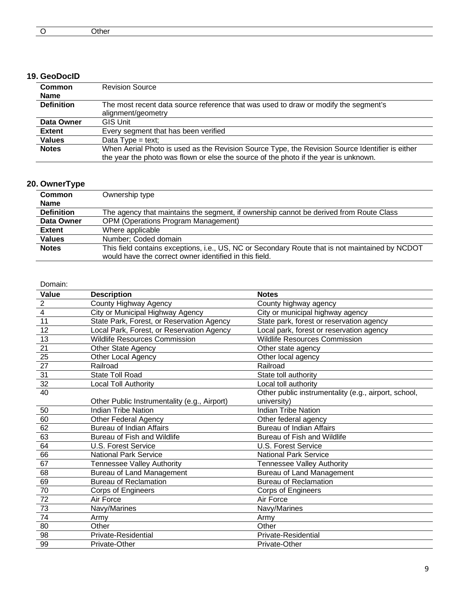|  | ____ |  |  |  |  |
|--|------|--|--|--|--|
|--|------|--|--|--|--|

#### **19. GeoDocID**

| <b>Common</b>     | <b>Revision Source</b>                                                                          |  |
|-------------------|-------------------------------------------------------------------------------------------------|--|
| <b>Name</b>       |                                                                                                 |  |
| <b>Definition</b> | The most recent data source reference that was used to draw or modify the segment's             |  |
|                   | alignment/geometry                                                                              |  |
| Data Owner        | <b>GIS Unit</b>                                                                                 |  |
| Extent            | Every segment that has been verified                                                            |  |
| <b>Values</b>     | Data Type = text;                                                                               |  |
| <b>Notes</b>      | When Aerial Photo is used as the Revision Source Type, the Revision Source Identifier is either |  |
|                   | the year the photo was flown or else the source of the photo if the year is unknown.            |  |

# **20. OwnerType**

| <b>Common</b>     | Ownership type                                                                                                                                            |
|-------------------|-----------------------------------------------------------------------------------------------------------------------------------------------------------|
| <b>Name</b>       |                                                                                                                                                           |
| <b>Definition</b> | The agency that maintains the segment, if ownership cannot be derived from Route Class                                                                    |
| Data Owner        | <b>OPM (Operations Program Management)</b>                                                                                                                |
| <b>Extent</b>     | Where applicable                                                                                                                                          |
| <b>Values</b>     | Number: Coded domain                                                                                                                                      |
| <b>Notes</b>      | This field contains exceptions, i.e., US, NC or Secondary Route that is not maintained by NCDOT<br>would have the correct owner identified in this field. |

| Value                              | <b>Description</b>                           | <b>Notes</b>                                         |
|------------------------------------|----------------------------------------------|------------------------------------------------------|
| $\frac{\frac{2}{4}}{\frac{4}{11}}$ | County Highway Agency                        | County highway agency                                |
|                                    | City or Municipal Highway Agency             | City or municipal highway agency                     |
|                                    | State Park, Forest, or Reservation Agency    | State park, forest or reservation agency             |
| 12                                 | Local Park, Forest, or Reservation Agency    | Local park, forest or reservation agency             |
| 13                                 | <b>Wildlife Resources Commission</b>         | <b>Wildlife Resources Commission</b>                 |
| 21                                 | <b>Other State Agency</b>                    | Other state agency                                   |
| $\overline{25}$                    | Other Local Agency                           | Other local agency                                   |
| 27                                 | Railroad                                     | Railroad                                             |
| 31                                 | <b>State Toll Road</b>                       | State toll authority                                 |
| 32                                 | <b>Local Toll Authority</b>                  | Local toll authority                                 |
| 40                                 |                                              | Other public instrumentality (e.g., airport, school, |
|                                    | Other Public Instrumentality (e.g., Airport) | university)                                          |
| 50                                 | <b>Indian Tribe Nation</b>                   | <b>Indian Tribe Nation</b>                           |
| 60                                 | <b>Other Federal Agency</b>                  | Other federal agency                                 |
| 62                                 | <b>Bureau of Indian Affairs</b>              | <b>Bureau of Indian Affairs</b>                      |
| 63                                 | Bureau of Fish and Wildlife                  | Bureau of Fish and Wildlife                          |
| 64                                 | <b>U.S. Forest Service</b>                   | <b>U.S. Forest Service</b>                           |
| 66                                 | <b>National Park Service</b>                 | National Park Service                                |
| 67                                 | Tennessee Valley Authority                   | Tennessee Valley Authority                           |
| 68                                 | <b>Bureau of Land Management</b>             | <b>Bureau of Land Management</b>                     |
| 69                                 | <b>Bureau of Reclamation</b>                 | <b>Bureau of Reclamation</b>                         |
| 70                                 | Corps of Engineers                           | Corps of Engineers                                   |
| 72                                 | Air Force                                    | Air Force                                            |
| 73                                 | Navy/Marines                                 | Navy/Marines                                         |
| $\overline{74}$                    | Army                                         | Army                                                 |
| 80                                 | Other                                        | Other                                                |
| 98                                 | Private-Residential                          | Private-Residential                                  |
| 99                                 | Private-Other                                | Private-Other                                        |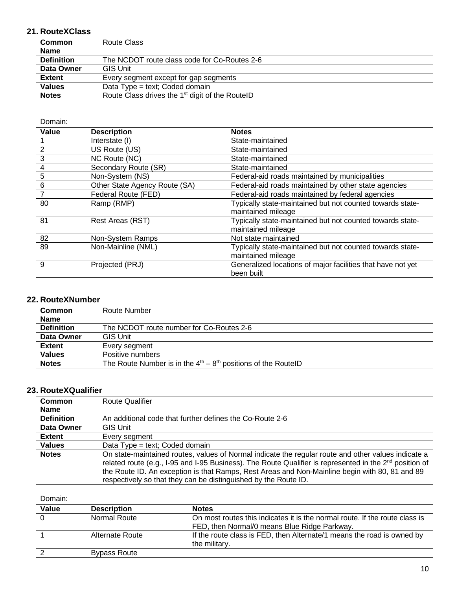### **21. RouteXClass**

| <b>Common</b>     | Route Class                                                 |
|-------------------|-------------------------------------------------------------|
| <b>Name</b>       |                                                             |
| <b>Definition</b> | The NCDOT route class code for Co-Routes 2-6                |
| Data Owner        | <b>GIS Unit</b>                                             |
| <b>Extent</b>     | Every segment except for gap segments                       |
| <b>Values</b>     | Data Type = text; Coded domain                              |
| <b>Notes</b>      | Route Class drives the 1 <sup>st</sup> digit of the RouteID |
|                   |                                                             |

Domain:

| Value           | <b>Description</b>            | <b>Notes</b>                                                |
|-----------------|-------------------------------|-------------------------------------------------------------|
|                 | Interstate (I)                | State-maintained                                            |
| $\overline{2}$  | US Route (US)                 | State-maintained                                            |
| 3               | NC Route (NC)                 | State-maintained                                            |
| 4               | Secondary Route (SR)          | State-maintained                                            |
| $\frac{5}{2}$   | Non-System (NS)               | Federal-aid roads maintained by municipalities              |
| $6\phantom{1}6$ | Other State Agency Route (SA) | Federal-aid roads maintained by other state agencies        |
|                 | Federal Route (FED)           | Federal-aid roads maintained by federal agencies            |
| 80              | Ramp (RMP)                    | Typically state-maintained but not counted towards state-   |
|                 |                               | maintained mileage                                          |
| 81              | Rest Areas (RST)              | Typically state-maintained but not counted towards state-   |
|                 |                               | maintained mileage                                          |
| 82              | Non-System Ramps              | Not state maintained                                        |
| 89              | Non-Mainline (NML)            | Typically state-maintained but not counted towards state-   |
|                 |                               | maintained mileage                                          |
| 9               | Projected (PRJ)               | Generalized locations of major facilities that have not yet |
|                 |                               | been built                                                  |

#### **22. RouteXNumber**

| Common            | Route Number                                                    |
|-------------------|-----------------------------------------------------------------|
| <b>Name</b>       |                                                                 |
| <b>Definition</b> | The NCDOT route number for Co-Routes 2-6                        |
| Data Owner        | <b>GIS Unit</b>                                                 |
| <b>Extent</b>     | Every segment                                                   |
| <b>Values</b>     | Positive numbers                                                |
| <b>Notes</b>      | The Route Number is in the $4th - 8th$ positions of the RoutelD |

### **23. RouteXQualifier**

| Common<br><b>Name</b> | <b>Route Qualifier</b>                                                                                                                                                                                                                                                                                                                                                                   |
|-----------------------|------------------------------------------------------------------------------------------------------------------------------------------------------------------------------------------------------------------------------------------------------------------------------------------------------------------------------------------------------------------------------------------|
| <b>Definition</b>     | An additional code that further defines the Co-Route 2-6                                                                                                                                                                                                                                                                                                                                 |
| Data Owner            | <b>GIS Unit</b>                                                                                                                                                                                                                                                                                                                                                                          |
| <b>Extent</b>         | Every segment                                                                                                                                                                                                                                                                                                                                                                            |
| <b>Values</b>         | Data Type = text; Coded domain                                                                                                                                                                                                                                                                                                                                                           |
| <b>Notes</b>          | On state-maintained routes, values of Normal indicate the regular route and other values indicate a<br>related route (e.g., I-95 and I-95 Business). The Route Qualifier is represented in the $2^{nd}$ position of<br>the Route ID. An exception is that Ramps, Rest Areas and Non-Mainline begin with 80, 81 and 89<br>respectively so that they can be distinguished by the Route ID. |

| Value | <b>Description</b>  | <b>Notes</b>                                                                            |
|-------|---------------------|-----------------------------------------------------------------------------------------|
|       | Normal Route        | On most routes this indicates it is the normal route. If the route class is             |
|       |                     | FED, then Normal/0 means Blue Ridge Parkway.                                            |
|       | Alternate Route     | If the route class is FED, then Alternate/1 means the road is owned by<br>the military. |
|       | <b>Bypass Route</b> |                                                                                         |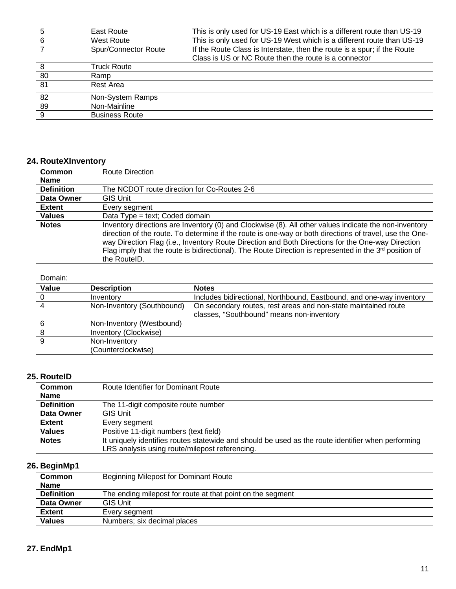|     | East Route            | This is only used for US-19 East which is a different route than US-19   |
|-----|-----------------------|--------------------------------------------------------------------------|
| -6  | <b>West Route</b>     | This is only used for US-19 West which is a different route than US-19   |
|     | Spur/Connector Route  | If the Route Class is Interstate, then the route is a spur; if the Route |
|     |                       | Class is US or NC Route then the route is a connector                    |
|     | <b>Truck Route</b>    |                                                                          |
| 80  | Ramp                  |                                                                          |
| 81  | Rest Area             |                                                                          |
| 82  | Non-System Ramps      |                                                                          |
| 89  | Non-Mainline          |                                                                          |
| - 9 | <b>Business Route</b> |                                                                          |

# **24. RouteXInventory**

| Common            | <b>Route Direction</b>                                                                                                                                                                                                                                                                                                                                                                                                                               |
|-------------------|------------------------------------------------------------------------------------------------------------------------------------------------------------------------------------------------------------------------------------------------------------------------------------------------------------------------------------------------------------------------------------------------------------------------------------------------------|
| <b>Name</b>       |                                                                                                                                                                                                                                                                                                                                                                                                                                                      |
| <b>Definition</b> | The NCDOT route direction for Co-Routes 2-6                                                                                                                                                                                                                                                                                                                                                                                                          |
| Data Owner        | GIS Unit                                                                                                                                                                                                                                                                                                                                                                                                                                             |
| <b>Extent</b>     | Every segment                                                                                                                                                                                                                                                                                                                                                                                                                                        |
| <b>Values</b>     | Data Type = text; Coded domain                                                                                                                                                                                                                                                                                                                                                                                                                       |
| <b>Notes</b>      | Inventory directions are Inventory (0) and Clockwise (8). All other values indicate the non-inventory<br>direction of the route. To determine if the route is one-way or both directions of travel, use the One-<br>way Direction Flag (i.e., Inventory Route Direction and Both Directions for the One-way Direction<br>Flag imply that the route is bidirectional). The Route Direction is represented in the $3^{rd}$ position of<br>the RouteID. |

#### Domain:

| Value | <b>Description</b>         | <b>Notes</b>                                                         |
|-------|----------------------------|----------------------------------------------------------------------|
|       | Inventory                  | Includes bidirectional, Northbound, Eastbound, and one-way inventory |
|       | Non-Inventory (Southbound) | On secondary routes, rest areas and non-state maintained route       |
|       |                            | classes, "Southbound" means non-inventory                            |
|       | Non-Inventory (Westbound)  |                                                                      |
|       | Inventory (Clockwise)      |                                                                      |
|       | Non-Inventory              |                                                                      |
|       | (Counterclockwise)         |                                                                      |

### **25. RouteID**

| <b>Common</b>     | Route Identifier for Dominant Route                                                                |
|-------------------|----------------------------------------------------------------------------------------------------|
| <b>Name</b>       |                                                                                                    |
| <b>Definition</b> | The 11-digit composite route number                                                                |
| Data Owner        | <b>GIS Unit</b>                                                                                    |
| <b>Extent</b>     | Every segment                                                                                      |
| <b>Values</b>     | Positive 11-digit numbers (text field)                                                             |
| <b>Notes</b>      | It uniquely identifies routes statewide and should be used as the route identifier when performing |
|                   | LRS analysis using route/milepost referencing.                                                     |

#### **26. BeginMp1**

| . <b>.</b> .      |                                                            |
|-------------------|------------------------------------------------------------|
| <b>Common</b>     | Beginning Milepost for Dominant Route                      |
| <b>Name</b>       |                                                            |
| <b>Definition</b> | The ending milepost for route at that point on the segment |
| Data Owner        | <b>GIS Unit</b>                                            |
| <b>Extent</b>     | Every segment                                              |
| <b>Values</b>     | Numbers; six decimal places                                |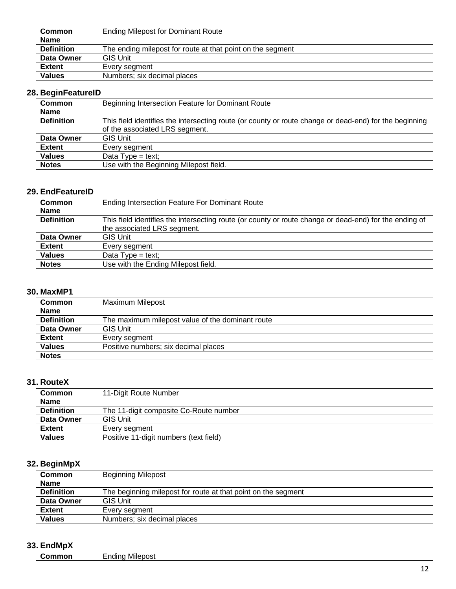| <b>Common</b>     | <b>Ending Milepost for Dominant Route</b>                  |
|-------------------|------------------------------------------------------------|
| <b>Name</b>       |                                                            |
| <b>Definition</b> | The ending milepost for route at that point on the segment |
| Data Owner        | <b>GIS Unit</b>                                            |
| Extent            | Every segment                                              |
| <b>Values</b>     | Numbers; six decimal places                                |

### **28. BeginFeatureID**

| <b>Common</b>     | Beginning Intersection Feature for Dominant Route                                                      |
|-------------------|--------------------------------------------------------------------------------------------------------|
| <b>Name</b>       |                                                                                                        |
| <b>Definition</b> | This field identifies the intersecting route (or county or route change or dead-end) for the beginning |
|                   | of the associated LRS segment.                                                                         |
| Data Owner        | <b>GIS Unit</b>                                                                                        |
| <b>Extent</b>     | Every segment                                                                                          |
| <b>Values</b>     | Data Type = text;                                                                                      |
| <b>Notes</b>      | Use with the Beginning Milepost field.                                                                 |
|                   |                                                                                                        |

#### **29. EndFeatureID**

| <b>Common</b><br><b>Name</b> | <b>Ending Intersection Feature For Dominant Route</b>                                                  |
|------------------------------|--------------------------------------------------------------------------------------------------------|
| <b>Definition</b>            | This field identifies the intersecting route (or county or route change or dead-end) for the ending of |
|                              | the associated LRS segment.                                                                            |
| Data Owner                   | <b>GIS Unit</b>                                                                                        |
| <b>Extent</b>                | Every segment                                                                                          |
| <b>Values</b>                | Data $Type = text;$                                                                                    |
| <b>Notes</b>                 | Use with the Ending Milepost field.                                                                    |

### **30. MaxMP1**

| .  .              |                                                  |
|-------------------|--------------------------------------------------|
| <b>Common</b>     | Maximum Milepost                                 |
| <b>Name</b>       |                                                  |
| <b>Definition</b> | The maximum milepost value of the dominant route |
| Data Owner        | <b>GIS Unit</b>                                  |
| <b>Extent</b>     | Every segment                                    |
| <b>Values</b>     | Positive numbers; six decimal places             |
| <b>Notes</b>      |                                                  |

### **31. RouteX**

| <b>Common</b>     | 11-Digit Route Number                  |
|-------------------|----------------------------------------|
| <b>Name</b>       |                                        |
| <b>Definition</b> | The 11-digit composite Co-Route number |
| Data Owner        | <b>GIS Unit</b>                        |
| <b>Extent</b>     | Every segment                          |
| <b>Values</b>     | Positive 11-digit numbers (text field) |

### **32. BeginMpX**

| ້                 |                                                               |
|-------------------|---------------------------------------------------------------|
| <b>Common</b>     | <b>Beginning Milepost</b>                                     |
| <b>Name</b>       |                                                               |
| <b>Definition</b> | The beginning milepost for route at that point on the segment |
| Data Owner        | <b>GIS Unit</b>                                               |
| <b>Extent</b>     | Every segment                                                 |
| Values            | Numbers; six decimal places                                   |

### **33. EndMpX**

| _ |  |
|---|--|
|   |  |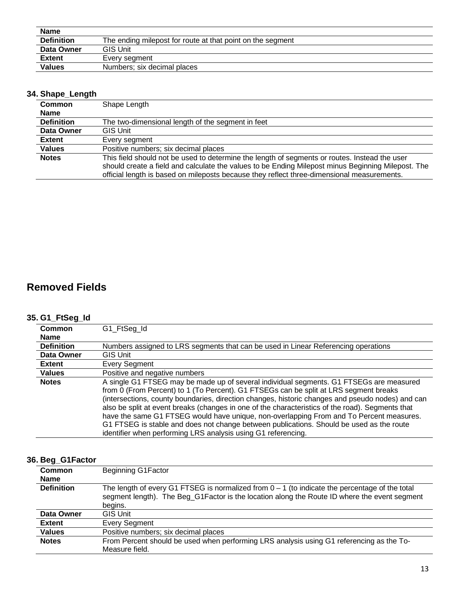| <b>Name</b>       |                                                            |
|-------------------|------------------------------------------------------------|
| <b>Definition</b> | The ending milepost for route at that point on the segment |
| Data Owner        | <b>GIS Unit</b>                                            |
| <b>Extent</b>     | Every segment                                              |
| <b>Values</b>     | Numbers; six decimal places                                |

### **34. Shape\_Length**

| <b>Common</b>     | Shape Length                                                                                       |  |
|-------------------|----------------------------------------------------------------------------------------------------|--|
| <b>Name</b>       |                                                                                                    |  |
| <b>Definition</b> | The two-dimensional length of the segment in feet                                                  |  |
| Data Owner        | <b>GIS Unit</b>                                                                                    |  |
| <b>Extent</b>     | Every segment                                                                                      |  |
| <b>Values</b>     | Positive numbers; six decimal places                                                               |  |
| <b>Notes</b>      | This field should not be used to determine the length of segments or routes. Instead the user      |  |
|                   | should create a field and calculate the values to be Ending Milepost minus Beginning Milepost. The |  |
|                   | official length is based on mileposts because they reflect three-dimensional measurements.         |  |

# **Removed Fields**

### **35. G1\_FtSeg\_Id**

| $-$               |                                                                                                                                                                                                                                                                                                                                                                                                                                                                                                                                                                                                                                                  |  |
|-------------------|--------------------------------------------------------------------------------------------------------------------------------------------------------------------------------------------------------------------------------------------------------------------------------------------------------------------------------------------------------------------------------------------------------------------------------------------------------------------------------------------------------------------------------------------------------------------------------------------------------------------------------------------------|--|
| Common            | G1_FtSeg_Id                                                                                                                                                                                                                                                                                                                                                                                                                                                                                                                                                                                                                                      |  |
| <b>Name</b>       |                                                                                                                                                                                                                                                                                                                                                                                                                                                                                                                                                                                                                                                  |  |
| <b>Definition</b> | Numbers assigned to LRS segments that can be used in Linear Referencing operations                                                                                                                                                                                                                                                                                                                                                                                                                                                                                                                                                               |  |
| Data Owner        | GIS Unit                                                                                                                                                                                                                                                                                                                                                                                                                                                                                                                                                                                                                                         |  |
| <b>Extent</b>     | Every Segment                                                                                                                                                                                                                                                                                                                                                                                                                                                                                                                                                                                                                                    |  |
| <b>Values</b>     | Positive and negative numbers                                                                                                                                                                                                                                                                                                                                                                                                                                                                                                                                                                                                                    |  |
| <b>Notes</b>      | A single G1 FTSEG may be made up of several individual segments. G1 FTSEGs are measured<br>from 0 (From Percent) to 1 (To Percent). G1 FTSEGs can be split at LRS segment breaks<br>(intersections, county boundaries, direction changes, historic changes and pseudo nodes) and can<br>also be split at event breaks (changes in one of the characteristics of the road). Segments that<br>have the same G1 FTSEG would have unique, non-overlapping From and To Percent measures.<br>G1 FTSEG is stable and does not change between publications. Should be used as the route<br>identifier when performing LRS analysis using G1 referencing. |  |

### **36. Beg\_G1Factor**

| Common            | <b>Beginning G1Factor</b>                                                                                                                                                                                   |
|-------------------|-------------------------------------------------------------------------------------------------------------------------------------------------------------------------------------------------------------|
| <b>Name</b>       |                                                                                                                                                                                                             |
| <b>Definition</b> | The length of every G1 FTSEG is normalized from $0 - 1$ (to indicate the percentage of the total<br>segment length). The Beg_G1Factor is the location along the Route ID where the event segment<br>begins. |
| Data Owner        | GIS Unit                                                                                                                                                                                                    |
| Extent            | Every Segment                                                                                                                                                                                               |
| <b>Values</b>     | Positive numbers; six decimal places                                                                                                                                                                        |
| <b>Notes</b>      | From Percent should be used when performing LRS analysis using G1 referencing as the To-<br>Measure field.                                                                                                  |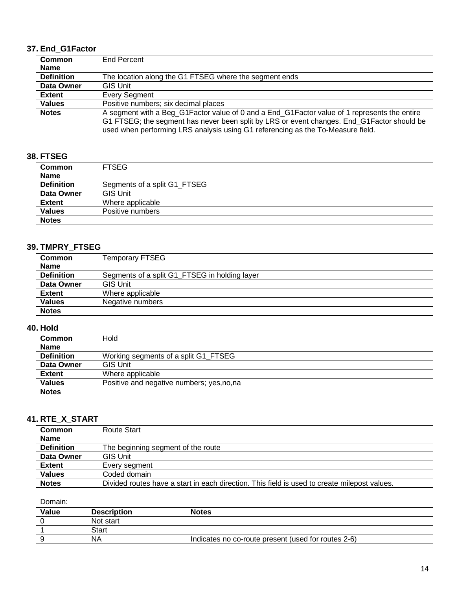### **37. End\_G1Factor**

| <b>Common</b>     | End Percent                                                                                  |
|-------------------|----------------------------------------------------------------------------------------------|
| <b>Name</b>       |                                                                                              |
| <b>Definition</b> | The location along the G1 FTSEG where the segment ends                                       |
| Data Owner        | <b>GIS Unit</b>                                                                              |
| <b>Extent</b>     | Every Segment                                                                                |
| <b>Values</b>     | Positive numbers; six decimal places                                                         |
| <b>Notes</b>      | A segment with a Beg_G1Factor value of 0 and a End_G1Factor value of 1 represents the entire |
|                   | G1 FTSEG; the segment has never been split by LRS or event changes. End G1Factor should be   |
|                   | used when performing LRS analysis using G1 referencing as the To-Measure field.              |

#### **38. FTSEG**

| <b>Common</b>     | <b>FTSEG</b>                 |
|-------------------|------------------------------|
| Name              |                              |
| <b>Definition</b> | Segments of a split G1_FTSEG |
| Data Owner        | <b>GIS Unit</b>              |
| <b>Extent</b>     | Where applicable             |
| <b>Values</b>     | Positive numbers             |
| <b>Notes</b>      |                              |

### **39. TMPRY\_FTSEG**

| <b>Common</b>     | <b>Temporary FTSEG</b>                        |
|-------------------|-----------------------------------------------|
| <b>Name</b>       |                                               |
| <b>Definition</b> | Segments of a split G1_FTSEG in holding layer |
| Data Owner        | <b>GIS Unit</b>                               |
| <b>Extent</b>     | Where applicable                              |
| <b>Values</b>     | Negative numbers                              |
| <b>Notes</b>      |                                               |

#### **40. Hold**

| <b>Common</b>     | Hold                                       |
|-------------------|--------------------------------------------|
| <b>Name</b>       |                                            |
| <b>Definition</b> | Working segments of a split G1 FTSEG       |
| Data Owner        | <b>GIS Unit</b>                            |
| <b>Extent</b>     | Where applicable                           |
| <b>Values</b>     | Positive and negative numbers; yes, no, na |
| <b>Notes</b>      |                                            |

#### **41. RTE\_X\_START**

| <b>Common</b>     | Route Start                                                                                  |
|-------------------|----------------------------------------------------------------------------------------------|
| <b>Name</b>       |                                                                                              |
| <b>Definition</b> | The beginning segment of the route                                                           |
| Data Owner        | <b>GIS Unit</b>                                                                              |
| <b>Extent</b>     | Every segment                                                                                |
| <b>Values</b>     | Coded domain                                                                                 |
| <b>Notes</b>      | Divided routes have a start in each direction. This field is used to create milepost values. |
|                   |                                                                                              |

| Value | <b>Description</b> | Notes                                               |  |
|-------|--------------------|-----------------------------------------------------|--|
|       | Not start          |                                                     |  |
|       | Start              |                                                     |  |
|       | NA                 | Indicates no co-route present (used for routes 2-6) |  |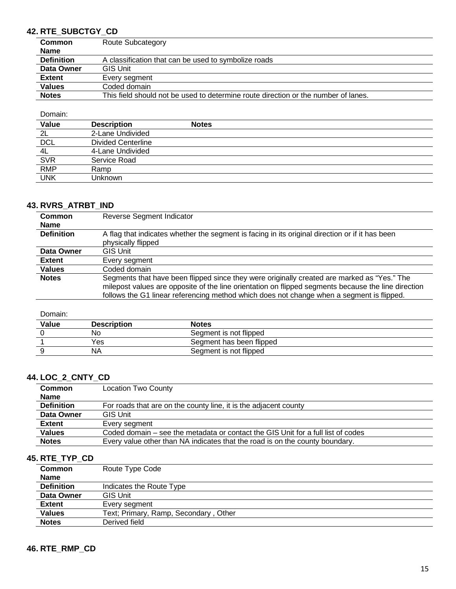### **42. RTE\_SUBCTGY\_CD**

| <b>Common</b>     | <b>Route Subcategory</b>                                                           |
|-------------------|------------------------------------------------------------------------------------|
| <b>Name</b>       |                                                                                    |
| <b>Definition</b> | A classification that can be used to symbolize roads                               |
| Data Owner        | <b>GIS Unit</b>                                                                    |
| <b>Extent</b>     | Every segment                                                                      |
| <b>Values</b>     | Coded domain                                                                       |
| <b>Notes</b>      | This field should not be used to determine route direction or the number of lanes. |

Domain:

| Value      | <b>Description</b>        | <b>Notes</b> |
|------------|---------------------------|--------------|
| 2L         | 2-Lane Undivided          |              |
| DCL        | <b>Divided Centerline</b> |              |
| 4L         | 4-Lane Undivided          |              |
| <b>SVR</b> | Service Road              |              |
| <b>RMP</b> | Ramp                      |              |
| <b>UNK</b> | Unknown                   |              |

### **43. RVRS\_ATRBT\_IND**

| Common<br>Name    | Reverse Segment Indicator                                                                                                                                                                                                                                                                       |
|-------------------|-------------------------------------------------------------------------------------------------------------------------------------------------------------------------------------------------------------------------------------------------------------------------------------------------|
| <b>Definition</b> | A flag that indicates whether the segment is facing in its original direction or if it has been<br>physically flipped                                                                                                                                                                           |
| Data Owner        | <b>GIS Unit</b>                                                                                                                                                                                                                                                                                 |
| Extent            | Every segment                                                                                                                                                                                                                                                                                   |
| <b>Values</b>     | Coded domain                                                                                                                                                                                                                                                                                    |
| <b>Notes</b>      | Segments that have been flipped since they were originally created are marked as "Yes." The<br>milepost values are opposite of the line orientation on flipped segments because the line direction<br>follows the G1 linear referencing method which does not change when a segment is flipped. |

Domain:

| Value | <b>Description</b> | <b>Notes</b>             |
|-------|--------------------|--------------------------|
|       | No                 | Segment is not flipped   |
|       | Yes                | Segment has been flipped |
|       | ΝA                 | Segment is not flipped   |

### **44. LOC\_2\_CNTY\_CD**

| <b>Common</b>     | <b>Location Two County</b>                                                       |
|-------------------|----------------------------------------------------------------------------------|
| <b>Name</b>       |                                                                                  |
| <b>Definition</b> | For roads that are on the county line, it is the adjacent county                 |
| Data Owner        | <b>GIS Unit</b>                                                                  |
| <b>Extent</b>     | Every segment                                                                    |
| <b>Values</b>     | Coded domain – see the metadata or contact the GIS Unit for a full list of codes |
| <b>Notes</b>      | Every value other than NA indicates that the road is on the county boundary.     |

#### **45. RTE\_TYP\_CD**

| <b>Common</b>     | Route Type Code                       |
|-------------------|---------------------------------------|
| <b>Name</b>       |                                       |
| <b>Definition</b> | Indicates the Route Type              |
| Data Owner        | <b>GIS Unit</b>                       |
| <b>Extent</b>     | Every seament                         |
| <b>Values</b>     | Text; Primary, Ramp, Secondary, Other |
| <b>Notes</b>      | Derived field                         |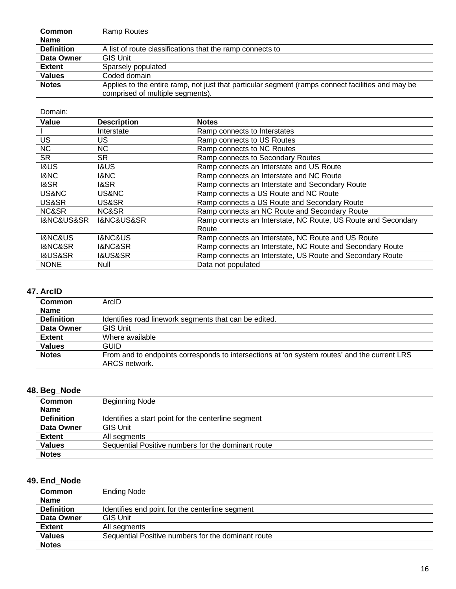| <b>Common</b>     | Ramp Routes                                                                                                                           |
|-------------------|---------------------------------------------------------------------------------------------------------------------------------------|
| <b>Name</b>       |                                                                                                                                       |
| <b>Definition</b> | A list of route classifications that the ramp connects to                                                                             |
| Data Owner        | <b>GIS Unit</b>                                                                                                                       |
| <b>Extent</b>     | Sparsely populated                                                                                                                    |
| <b>Values</b>     | Coded domain                                                                                                                          |
| <b>Notes</b>      | Applies to the entire ramp, not just that particular segment (ramps connect facilities and may be<br>comprised of multiple segments). |

Domain:

| Value                         | <b>Description</b>     | <b>Notes</b>                                                  |
|-------------------------------|------------------------|---------------------------------------------------------------|
|                               | Interstate             | Ramp connects to Interstates                                  |
| US                            | US                     | Ramp connects to US Routes                                    |
| <b>NC</b>                     | NC.                    | Ramp connects to NC Routes                                    |
| <b>SR</b>                     | SR.                    | Ramp connects to Secondary Routes                             |
| <b>1&amp;US</b>               | <b>I&amp;US</b>        | Ramp connects an Interstate and US Route                      |
| <b>I&amp;NC</b>               | 1&NC                   | Ramp connects an Interstate and NC Route                      |
| <b>I&amp;SR</b>               | 1&SR                   | Ramp connects an Interstate and Secondary Route               |
| US&NC                         | US&NC                  | Ramp connects a US Route and NC Route                         |
| US&SR                         | US&SR                  | Ramp connects a US Route and Secondary Route                  |
| NC&SR                         | NC&SR                  | Ramp connects an NC Route and Secondary Route                 |
| <b>I&amp;NC&amp;US&amp;SR</b> | I&NC&US&SR             | Ramp connects an Interstate, NC Route, US Route and Secondary |
|                               |                        | Route                                                         |
| <b>I&amp;NC&amp;US</b>        | <b>I&amp;NC&amp;US</b> | Ramp connects an Interstate, NC Route and US Route            |
| <b>I&amp;NC&amp;SR</b>        | <b>I&amp;NC&amp;SR</b> | Ramp connects an Interstate, NC Route and Secondary Route     |
| <b>I&amp;US&amp;SR</b>        | <b>I&amp;US&amp;SR</b> | Ramp connects an Interstate, US Route and Secondary Route     |
| <b>NONE</b>                   | Null                   | Data not populated                                            |

### **47. ArcID**

| Common            | ArcID                                                                                        |
|-------------------|----------------------------------------------------------------------------------------------|
| <b>Name</b>       |                                                                                              |
| <b>Definition</b> | Identifies road linework segments that can be edited.                                        |
| Data Owner        | <b>GIS Unit</b>                                                                              |
| <b>Extent</b>     | Where available                                                                              |
| <b>Values</b>     | GUID                                                                                         |
| <b>Notes</b>      | From and to endpoints corresponds to intersections at 'on system routes' and the current LRS |
|                   | ARCS network.                                                                                |

#### **48. Beg\_Node**

| $-$               |                                                     |
|-------------------|-----------------------------------------------------|
| <b>Common</b>     | <b>Beginning Node</b>                               |
| <b>Name</b>       |                                                     |
| <b>Definition</b> | Identifies a start point for the centerline segment |
| Data Owner        | <b>GIS Unit</b>                                     |
| <b>Extent</b>     | All segments                                        |
| <b>Values</b>     | Sequential Positive numbers for the dominant route  |
| <b>Notes</b>      |                                                     |

### **49. End\_Node**

| <b>Common</b>     | <b>Ending Node</b>                                 |
|-------------------|----------------------------------------------------|
| <b>Name</b>       |                                                    |
| <b>Definition</b> | Identifies end point for the centerline segment    |
| Data Owner        | <b>GIS Unit</b>                                    |
| <b>Extent</b>     | All segments                                       |
| <b>Values</b>     | Sequential Positive numbers for the dominant route |
| <b>Notes</b>      |                                                    |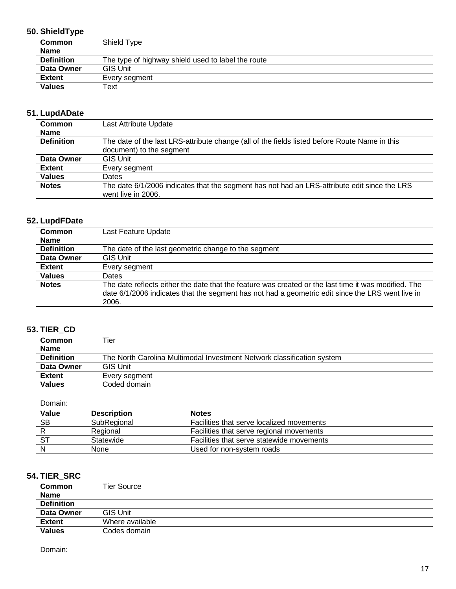### **50. ShieldType**

| <b>Common</b>     | Shield Type                                        |
|-------------------|----------------------------------------------------|
| <b>Name</b>       |                                                    |
| <b>Definition</b> | The type of highway shield used to label the route |
| Data Owner        | <b>GIS Unit</b>                                    |
| <b>Extent</b>     | Every segment                                      |
| <b>Values</b>     | Text                                               |

### **51. LupdADate**

| <b>Common</b>     | Last Attribute Update                                                                                                     |
|-------------------|---------------------------------------------------------------------------------------------------------------------------|
| <b>Name</b>       |                                                                                                                           |
| <b>Definition</b> | The date of the last LRS-attribute change (all of the fields listed before Route Name in this<br>document) to the segment |
| Data Owner        | <b>GIS Unit</b>                                                                                                           |
| <b>Extent</b>     | Every segment                                                                                                             |
| <b>Values</b>     | Dates                                                                                                                     |
| <b>Notes</b>      | The date 6/1/2006 indicates that the segment has not had an LRS-attribute edit since the LRS<br>went live in 2006.        |

### **52. LupdFDate**

| <b>Common</b>     | Last Feature Update                                                                                                                                                                                               |  |
|-------------------|-------------------------------------------------------------------------------------------------------------------------------------------------------------------------------------------------------------------|--|
| <b>Name</b>       |                                                                                                                                                                                                                   |  |
| <b>Definition</b> | The date of the last geometric change to the segment                                                                                                                                                              |  |
| Data Owner        | <b>GIS Unit</b>                                                                                                                                                                                                   |  |
| <b>Extent</b>     | Every segment                                                                                                                                                                                                     |  |
| <b>Values</b>     | Dates                                                                                                                                                                                                             |  |
| <b>Notes</b>      | The date reflects either the date that the feature was created or the last time it was modified. The<br>date 6/1/2006 indicates that the segment has not had a geometric edit since the LRS went live in<br>2006. |  |

### **53. TIER\_CD**

| <b>Common</b>     | Tier                                                                   |  |
|-------------------|------------------------------------------------------------------------|--|
| <b>Name</b>       |                                                                        |  |
| <b>Definition</b> | The North Carolina Multimodal Investment Network classification system |  |
| Data Owner        | <b>GIS Unit</b>                                                        |  |
| <b>Extent</b>     | Every segment                                                          |  |
| <b>Values</b>     | Coded domain                                                           |  |

Domain:

| Value     | <b>Description</b> | <b>Notes</b>                              |
|-----------|--------------------|-------------------------------------------|
| <b>SB</b> | SubRegional        | Facilities that serve localized movements |
|           | Regional           | Facilities that serve regional movements  |
|           | Statewide          | Facilities that serve statewide movements |
|           | <b>None</b>        | Used for non-system roads                 |

### **54. TIER\_SRC**

| .                            |                    |
|------------------------------|--------------------|
| <b>Common</b><br><b>Name</b> | <b>Tier Source</b> |
| <b>Definition</b>            |                    |
| Data Owner                   | <b>GIS Unit</b>    |
| <b>Extent</b>                | Where available    |
| <b>Values</b>                | Codes domain       |
|                              |                    |